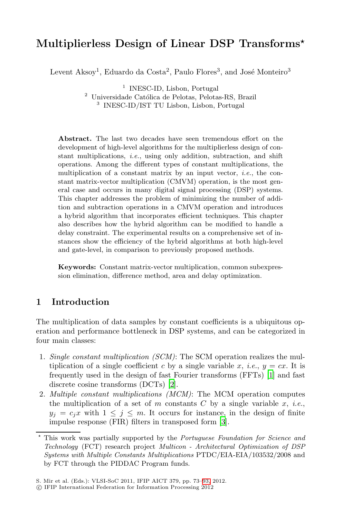# **Multiplierless Design of Linear DSP Transforms***-*

Levent Aksoy<sup>1</sup>, Eduardo da Costa<sup>2</sup>, Paulo Flores<sup>3</sup>, and José Monteiro<sup>3</sup>

<sup>1</sup> INESC-ID, Lisbon, Portugal

 $^{\rm 2}$ Universidade Católica de Pelotas, Pelotas-RS, Brazil <sup>3</sup> INESC-ID/IST TU Lisbon, Lisbon, Portugal

**Abstract.** The last two decades have seen tremendous effort on the development of high-level algorithms for the multiplierless design of constant multiplications, *i.e.*, using only addition, subtraction, and shift operations. Among the different types of constant multiplications, the multiplication of a constant matrix by an input vector, *i.e.*, the constant matrix-vector multiplication (CMVM) operation, is the most general case and occurs in many digital signal processing (DSP) systems. This chapter addresses the problem of minimizing the number of addition and subtraction operations in a CMVM operation and introduces a hybrid algorithm that incorporates efficient techniques. This chapter also describes how the hybrid algorithm can be modified to handle a delay constraint. The experimental results on a comprehensive set of instances show the efficiency of the hybrid algorithms at both high-level and gate-level, in comparison to previously proposed methods.

**Keywords:** Constant matrix-vector multiplication, common subexpression elimination, difference method, area and delay optimization.

# **1 Introduction**

The multiplication of data samples by constant coefficients is a ubiquitous operation and performance bottleneck in DSP systems, and can be categorized in four main classes:

- 1. *Single constant multiplication (S[CM](#page-19-0))*: The SCM operation realizes the multiplication of a single coefficient *c* by a single variable *x*, *i.e.*,  $y = cx$ . It is frequently used in the design of fast Fourier transforms (FFTs) [1] and fast discrete cosine transforms (DCTs) [2].
- 2. *Multiple constant multiplications (MCM)*: The MCM operation computes the multiplication of a set of  $m$  constants  $C$  by a single variable  $x$ , *i.e.*,  $y_j = c_j x$  with  $1 \leq j \leq m$ [.](#page-20-0) [I](#page-20-0)t occurs for instance, in the design of finite impulse response (FIR) filters in transposed form [3].

<sup>-</sup> This work was partially supported by the *Portuguese Foundation for Science and Technology* (FCT) research project *Multicon - Architectural Optimization of DSP Systems with Multiple Constants Multiplications* PTDC/EIA-EIA/103532/2008 and by FCT through the PIDDAC Program funds.

S. Mir et al. (Eds.): VLSI-SoC 2011, IFIP AICT 379, pp. 73–93, 2012.

<sup>-</sup>c IFIP International Federation for Information Processing 2012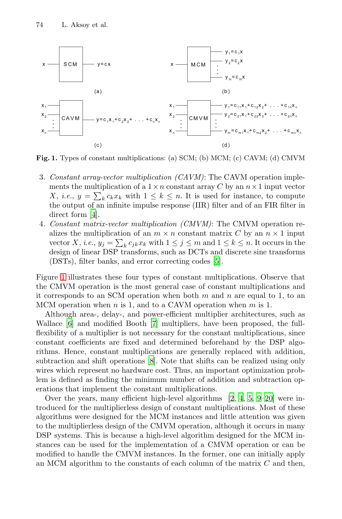

**Fig. 1.** Types of constant multiplications: (a) SCM; (b) MCM; (c) CAVM; (d) CMVM

- 3. *Constant array-vector multiplication (CAVM)*: The CAVM operation implements the multiplication of a  $1 \times n$  constant array  $C$  by an  $n \times 1$  input vector X, *i.e.*,  $y = \sum_{k} c_k x_k$  with  $1 \leq k \leq n$ . It is used for instance, to compute the output of an infinite impulse response (IIR) filter and of an FIR filter in direct form [4].
- 4. *Constant matrix-vector multiplication (CMVM)*: The CMVM operation realizes the multiplication of an  $m \times n$  constant matrix *C* by an  $n \times 1$  input vector *X*, *i.e.*,  $y_j = \sum_k c_{jk} x_k$  with  $1 \leq j \leq m$  and  $1 \leq k \leq n$ . It occurs in the design of lin[ea](#page-19-2)r DSP transforms, such as DCTs and discrete sine transforms (DSTs), filter banks, and error correcting codes [5].

Figure 1 illustrates these four types of constant multiplications. Observe that the CMVM op[era](#page-19-3)tion is the most general case of constant multiplications and it corresponds to an SCM operation when both *m* and *n* are equal to 1, to an MCM operation when *n* is 1, and to a CAVM operation when *m* is 1.

Although area-, delay-, and power-efficient multiplier architectures, such as Wallace [6] and modified Booth [7] m[ul](#page-19-4)[tip](#page-19-5)l[ie](#page-19-1)r[s,](#page-19-6) [hav](#page-20-1)e been proposed, the fullflexibility of a multiplier is not necessary for the constant multiplications, since constant coefficients are fixed and determined beforehand by the DSP algorithms. Hence, constant multiplications are generally replaced with addition, subtraction and shift operations [8]. Note that shifts can be realized using only wires which represent no hardware cost. Thus, an important optimization problem is defined as finding the minimum number of addition and subtraction operations that implement the constant multiplications.

Over the years, many efficient high-level algorithms [2, 4, 5, 9–20] were introduced for the multiplierless design of constant multiplications. Most of these algorithms were designed for the MCM instances and little attention was given to the multiplierless design of the CMVM operation, although it occurs in many DSP systems. This is because a high-level algorithm designed for the MCM instances can be used for the implementation of a CMVM operation or can be modified to handle the CMVM instances. In the former, one can initially apply an MCM algorithm to the constants of each column of the matrix *C* and then,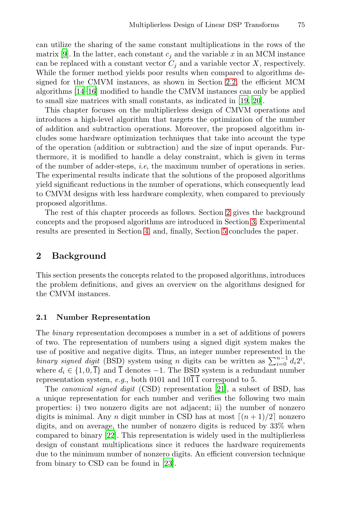can utilize the sharing of the same constant multiplications in the rows of the matrix [9]. In the latter, each constant  $c_i$  and the variable  $x$  in an MCM instance can be replaced with a constant vector  $C_j$  and a variable vector  $X$ , respectively. While the former method yields poor results when compared to algorithms designed for the CMVM instances, as shown in Section 2.2, the efficient MCM algorithms [14–16] modified to handle the CMVM instances can only be applied to small size matrices with small constants, as indicated in [19, 20].

<span id="page-2-0"></span>This chapter focuses on the multiplierless design of CMVM operations and introduces a high-level algorithm that targets the optimization of the number of addition and subtraction operations. Moreover, the proposed algorithm includes some hardware optimization t[ech](#page-2-0)niques that take into account the type of the operation (addition or subtraction) an[d](#page-7-0) the size of input operands. Furthermore, it i[s](#page-15-0) modified to handle a [d](#page-19-7)elay constraint, which is given in terms of the number of adder-steps, *i.e*, the maximum number of operations in series. The experimental results indicate that the solutions of the proposed algorithms yield significant reductions in the number of operations, which consequently lead to CMVM designs with less hardware complexity, when compared to previously proposed algorithms.

The rest of this chapter proceeds as follows. Section 2 gives the background concepts and the proposed algorithms are introduced in Section 3. Experimental results are presented in Section 4, and, finally, Section 5 concludes the paper.

# **2 Background**

This section presents the concepts related to the proposed algorithms, introduces the problem definitions, and gives an overview on the algorithms designed for the CMVM instances.

### **2.1 Number Representation**

The *binary* representation decomposes a number in a set of additions of powers of two. The representation of numbers using a signed digit system makes the use of positive and negative digits. Thus, an integer number represented in the *bi[nary](#page-20-3)* signed digit (BSD) system using *n* digits can be written as  $\sum_{i=0}^{n-1} d_i 2^i$ , where  $d_i \in \{1, 0, \overline{1}\}$  and  $\overline{1}$  denotes  $-1$ . The BSD system is a redundant number representation system, *e.g.*, both 0101 and  $10\overline{1}\overline{1}$  correspond to 5.

The *canonical si[gne](#page-20-4)d digit* (CSD) representation [21], a subset of BSD, has a unique representation for each number and verifies the following two main properties: i) two nonzero digits are not adjacent; ii) the number of nonzero digits is minimal. Any *n* digit number in CSD has at most  $\lceil (n+1)/2 \rceil$  nonzero digits, and on average, the number of nonzero digits is reduced by 33% when compared to binary [22]. This representation is widely used in the multiplierless design of constant multiplications since it reduces the hardware requirements due to the minimum number of nonzero digits. An efficient conversion technique from binary to CSD can be found in [23].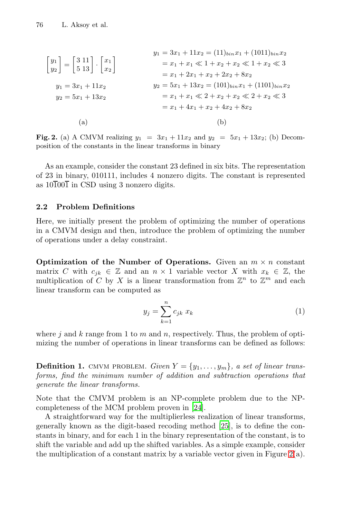<span id="page-3-1"></span><span id="page-3-0"></span>
$$
\begin{bmatrix} y_1 \\ y_2 \end{bmatrix} = \begin{bmatrix} 3 & 11 \\ 5 & 13 \end{bmatrix} \cdot \begin{bmatrix} x_1 \\ x_2 \end{bmatrix}
$$
  
\n
$$
y_1 = 3x_1 + 11x_2 = (11)_{bin}x_1 + (1011)_{bin}x_2
$$
  
\n
$$
= x_1 + x_1 \ll 1 + x_2 + x_2 \ll 1 + x_2 \ll 3
$$
  
\n
$$
= x_1 + 2x_1 + x_2 + 2x_2 + 8x_2
$$
  
\n
$$
y_2 = 5x_1 + 13x_2
$$
  
\n
$$
y_3 = 5x_1 + 13x_2
$$
  
\n
$$
= x_1 + x_1 \ll 2 + x_2 + x_2 \ll 2 + x_2 \ll 3
$$
  
\n
$$
= x_1 + 4x_1 + x_2 + 4x_2 + 8x_2
$$
  
\n(a)  
\n(b)

**Fig. 2.** (a) A CMVM realizing  $y_1 = 3x_1 + 11x_2$  and  $y_2 = 5x_1 + 13x_2$ ; (b) Decomposition of the constants in the linear transforms in binary

<span id="page-3-2"></span>As an example, consider the constant 23 defined in six bits. The representation of 23 in binary, 010111, includes 4 nonzero digits. The constant is represented as  $10\overline{1}00\overline{1}$  in CSD using 3 nonzero digits.

## **2.2 Problem Definitions**

Here, we initially present the problem of optimizing the number of operations in a CMVM design and then, introduce the problem of optimizing the number of operations under a delay constraint.

**Optimization of the Number of Operations.** Given an  $m \times n$  constant matrix *C* with  $c_{ik} \in \mathbb{Z}$  and an  $n \times 1$  variable vector *X* with  $x_k \in \mathbb{Z}$ , the multiplication of *C* by *X* is a linear transformation from  $\mathbb{Z}^n$  to  $\mathbb{Z}^m$  and each linear transform can be computed as

$$
y_j = \sum_{k=1}^n c_{jk} x_k \tag{1}
$$

where  $j$  and  $k$  range from 1 [to](#page-20-5)  $m$  and  $n$ , respectively. Thus, the problem of optimizing the number of operations in linear transforms can be defined as follows:

**Definition 1.** CMVM PROBLEM. *Given*  $Y = \{y_1, \ldots, y_m\}$ *, a set of linear transforms, find the minimum number of addition and subt[ra](#page-3-0)ction operations that generate the linear transforms.*

Note that the CMVM problem is an NP-complete problem due to the NPcompleteness of the MCM problem proven in [24].

A straightforward way for the multiplierless realization of linear transforms, generally known as the digit-based recoding method [25], is to define the constants in binary, and for each 1 in the binary representation of the constant, is to shift the variable and add up the shifted variables. As a simple example, consider the multiplication of a constant matrix by a variable vector given in Figure  $2(a)$ .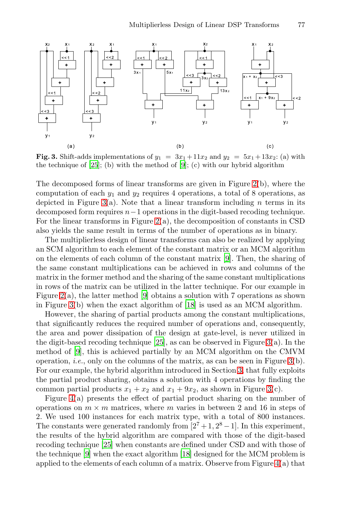<span id="page-4-0"></span>

**Fig. 3.** Shift-adds [im](#page-3-0)plementations of  $y_1 = 3x_1 + 11x_2$  and  $y_2 = 5x_1 + 13x_2$ : (a) with the technique of  $[25]$ ; (b) with the method of  $[9]$ ; (c) with our hybrid algorithm

The decomposed forms of linear tran[sfo](#page-19-6)rms are given in Figure 2(b), where the computation of each *y*<sup>1</sup> and *y*<sup>2</sup> requires 4 operations, a total of 8 operations, as depicted in Figure 3(a). Note that a linear transform including *n* terms in its decomposed form requires *n*−1 operations in the digit-based recoding technique. Fo[r t](#page-19-6)he linear transforms in Figure  $2(a)$ , the decomposition of constants in CSD also yields the same resul[t in](#page-20-6) terms of the number of operations as in binary.

The multiplierless design of linear transforms can also be realized by applying an SCM algorithm to each element of the constant matrix or an MCM algorithm on the elements of each column of the constant matrix [9]. Then, the sharing of the same consta[nt m](#page-20-7)ultiplications can be achieve[d](#page-4-0) in rows and columns of the matrix in the former method and the sharing of the same constant multiplications in rows of the matrix can be utilized in the latter techni[qu](#page-4-0)e. For our example in Figure 2(a), the latter method [9] obtains [a](#page-7-0) solution with 7 operations as shown in Figure 3(b) when the exact algorithm of [18] is used as an MCM algorithm.

However, the sharing of partial products among [th](#page-4-0)e constant multiplications, that significantly reduces the required number of operations and, consequently, the area and power dissipation of the design at gate-level, is never utilized in the digit-based recoding technique  $[25]$ , as can be observed in Figure 3(a). In the method of [9], this is achieved partially by an MCM algorithm on the CMVM operation, *i.e.*, only on the columns of the matrix, as can be seen in Figure  $3(b)$ . F[or o](#page-20-7)ur example, the hybrid algorithm introduced in Section 3, that fully exploits the partial product shari[ng,](#page-20-6) obtains a solution with 4 operations by finding the common partial products  $x_1 + x_2$  and  $x_1 + 9x_2$ , as s[ho](#page-5-0)wn in Figure 3(c).

Figure 4(a) presents the effect of partial product sharing on the number of operations on  $m \times m$  matrices, where  $m$  varies in between 2 and 16 in steps of 2. We used 100 instances for each matrix type, with a total of 800 instances. The constants were generated randomly from  $[2^7 + 1, 2^8 - 1]$ . In this experiment, the results of the hybrid algorithm are compared with those of the digit-based recoding technique [25] when constants are defined under CSD and with those of the technique [9] when the exact algorithm [18] designed for the MCM problem is applied to the elements of each column of a matrix. Observe from Figure  $4(a)$  that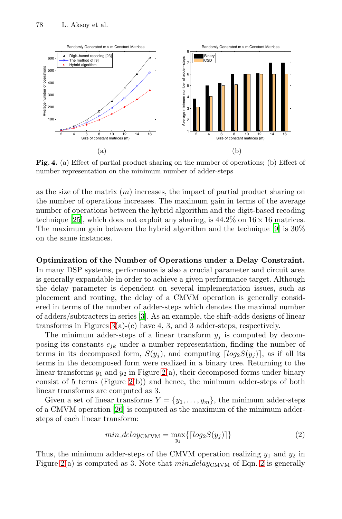<span id="page-5-0"></span>

**Fig. 4.** (a) Effect of partial product sharing on the number of operations; (b) Effect of number representation on the minimum number of adder-steps

as the size of the matrix (*m*) increases, the impact of partial product sharing on the number of operations increases. The maximum gain in terms of the average number of operations between the hybrid algorithm and the digit-based recoding technique [25], which does not exploit any sharing, is  $44.2\%$  on  $16 \times 16$  matrices. The maximum gain between the hybrid algorithm and the technique [9] is 30% on the same [in](#page-19-0)stances.

**Op[tim](#page-4-0)ization of the Number of Operations under a Delay Constraint.** In many DSP systems, performance is also a crucial parameter and circuit area is generally expandable in order to achieve a given performance target. Although the delay parameter is dependent on several implementation issues, such as placement and ro[uti](#page-3-0)ng, the delay of a CMVM operation is generally considered in t[erm](#page-3-0)s of the number of adder-steps which denotes the maximal number of adders/subtracters in series [3]. As an example, the shift-adds designs of linear transforms in Figures  $3(a)-(c)$  have 4, 3, and 3 adder-steps, respectively.

T[he m](#page-20-8)inimum adder-steps of a linear transform  $y_j$  is computed by decomposing its constants  $c_{jk}$  under a number representation, finding the number of terms in its decomposed form,  $S(y_i)$ , and computing  $\lceil log_2 S(y_i) \rceil$ , as if all its terms in the decomposed form were realized in a binary tree. Returning to the linear transforms  $y_1$  and  $y_2$  in Figure 2(a), their decomposed forms under binary consist of 5 terms (Figure 2(b)) and hence, the minimum adder-steps of both linear transforms are computed as 3.

Given a set of linear transforms  $Y = \{y_1, \ldots, y_m\}$ , the minimum adder-steps of a CMVM operation [26] is computed as the maximum of the minimum addersteps of each linear transform:

$$
min\_delay_{\text{CMVM}} = \max_{y_j} \{ \lceil log_2 S(y_j) \rceil \} \tag{2}
$$

Thus, the minimum adder-steps of the CMVM operation realizing  $y_1$  and  $y_2$  in Figure  $2(a)$  is computed as 3. Note that  $min\_delay_{\text{CMVM}}$  of Eqn. 2 is generally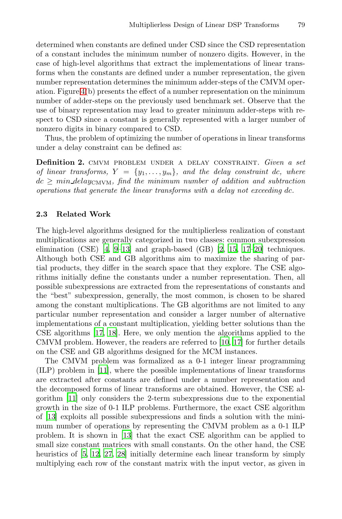determined when constants are defined under CSD since the CSD representation of a constant includes the minimum number of nonzero digits. However, in the case of high-level algorithms that extract the implementations of linear transforms when the constants are defined under a number representation, the given number representation determines the minimum adder-steps of the CMVM operation. Figure 4(b) presents the effect of a number representation on the minimum number of adder-steps on the previously used benchmark set. Observe that the use of binary representation may lead to greater minimum adder-steps with respect to CSD since a constant is generally represented with a larger number of nonzero digits in binary compared to CSD.

Thus, the problem of optimizing the number of operations in linear transforms under a delay constraint can be defined as:

**Definition 2.** cmvm problem under a delay constraint. *Given a set of* [l](#page-19-5)i[ne](#page-19-6)ar transforms,  $Y = \{y_1, \ldots, y_m\}$ , and the delay constraint *dc*, where  $dc \geq min\_delay_{\text{CMVM}}$  $dc \geq min\_delay_{\text{CMVM}}$  $dc \geq min\_delay_{\text{CMVM}}$ , find the mi[ni](#page-19-4)[mum](#page-20-10) [nu](#page-20-11)[mbe](#page-20-1)r of addition and subtraction *operations that generate the linear transforms with a delay not exceeding dc.*

## **2.3 Related Work**

The high-level algorithms designed for the multiplierless realization of constant multiplications are generally categorized in two classes: common subexpression elimination (CSE) [4, 9–13] and graph-based (GB) [2, 15, 17–20] techniques. [Al](#page-20-11)[thou](#page-20-6)gh both CSE and GB algorithms aim to maximize the sharing of partial products, they differ in the sear[ch](#page-19-8) [spa](#page-20-11)ce that they explore. The CSE algorithms initially define the constants under a number representation. Then, all possible subexpressions are extracted from the representations of constants and [the](#page-20-12) "best" subexpression, generally, the most common, is chosen to be shared among the constant multiplications. The GB algorithms are not limited to any particular number representation and consider a larger number of alternative implementations of a constant multiplication, yielding better solutions than the CSE algorithms [17, 18]. Here, we only mention the algorithms applied to the CMVM problem. However, the readers are referred to [10, 17] for further details on the CSE and GB algorithms designed for the MCM instances.

The [CM](#page-20-9)VM problem was formalized as a 0-1 integer linear programming (ILP) problem in [11], where the possible implementations of linear transforms [a](#page-20-13)[re e](#page-20-14)[xtra](#page-20-15)cted after constants are defined under a number representation and the decomposed forms of linear transforms are obtained. However, the CSE algorithm [11] only considers the 2-term subexpressions due to the exponential growth in the size of 0-1 ILP problems. Furthermore, the exact CSE algorithm of [13] exploits all possible subexpressions and finds a solution with the minimum number of operations by representing the CMVM problem as a 0-1 ILP problem. It is shown in [13] that the exact CSE algorithm can be applied to small size constant matrices with small constants. On the other hand, the CSE heuristics of  $[5, 12, 27, 28]$  initially determine each linear transform by simply multiplying each row of the constant matrix with the input vector, as given in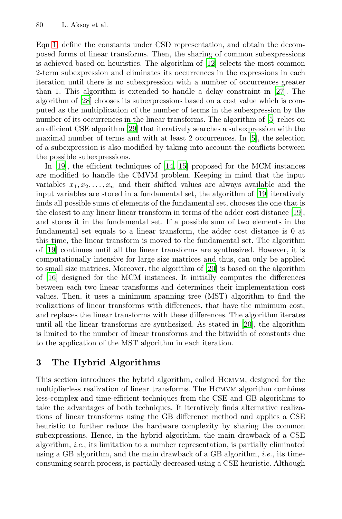Eqn 1, define the constants under CSD represent[ati](#page-19-1)on, and obtain the decomposed fo[rms](#page-20-16) of linear transforms. Then, the sharing of common subexpressions is achieved based on heuristics. The algorith[m](#page-19-1) of [12] selects the most common 2-term subexpression and eliminates its occurrences in the expressions in each iteration until there is no subexpression with a number of occurrences greater than 1. This algori[thm](#page-20-17) [is](#page-20-10) extended to handle a delay constraint in [27]. The algorithm of [28] chooses its subexpressions based on a cost value which is computed as the multiplication of the number of terms in the subexpression by the number of its occurrences in the linear transfor[ms.](#page-20-2) The algorithm of [5] relies on an efficient CSE algorithm [29] that iteratively searches a subexpression with the maximal number of terms and with at least 2 occurrence[s. I](#page-20-2)n [5], the selection of a subexpression is also modified by taking into account the conflicts between the possible subexpressions.

<span id="page-7-0"></span>In [19], the efficient techniques of [14, 15] proposed for the MCM instances are modified to handle the CMVM problem. Keeping in mind that the input variables  $x_1, x_2, \ldots, x_n$  and their shifted values are always available and the input variables are stored in a f[und](#page-20-1)amental set, the algorithm of [19] iteratively finds all possible sums of elements of the fundamental set, chooses the one that is the closest to any linear linear transform in terms of the adder cost distance [19], and stores it in the fundamental set. If a possible sum of two elements in the fundamental set equals to a linear transform, the adder cost distance is 0 at this time, the linear transform is moved to the fundamental set. The algorithm of [19] continues until all the linear transf[orm](#page-20-1)s are synthesized. However, it is computationally intensive for large size matrices and thus, can only be applied to small size matrices. Moreover, the algorithm of [20] is based on the algorithm of [16] designed for the MCM instances. It initially computes the differences between each two linear transforms and determines their implementation cost values. Then, it uses a minimum spanning tree (MST) algorithm to find the realizations of linear transforms with differences, that have the minimum cost, and replaces the linear transforms with these differences. The algorithm iterates until all the linear transforms are synthesized. As stated in [20], the algorithm is limited to the number of linear transforms and the bitwidth of constants due to the application of the MST algorithm in each iteration.

## **3 The Hybrid Algorithms**

This section introduces the hybrid algorithm, called Hcmvm, designed for the multiplierless realization of linear transforms. The Hcmvm algorithm combines less-complex and time-efficient techniques from the CSE and GB algorithms to take the advantages of both techniques. It iteratively finds alternative realizations of linear transforms using the GB difference method and applies a CSE heuristic to further reduce the hardware complexity by sharing the common subexpressions. Hence, in the hybrid algorithm, the main drawback of a CSE algorithm, *i.e.*, its limitation to a number representation, is partially eliminated using a GB algorithm, and the main drawback of a GB algorithm, *i.e.*, its timeconsuming search process, is partially decreased using a CSE heuristic. Although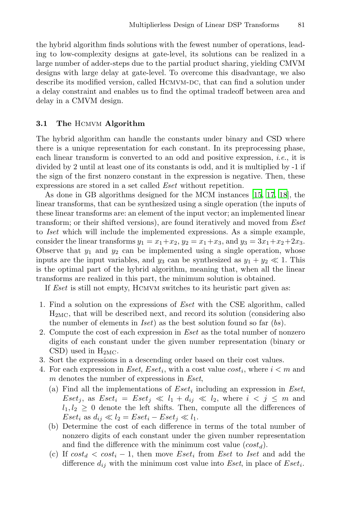the hybrid algorithm finds solutions with the fewest number of operations, leading to low-complexity designs at gate-level, its solutions can be realized in a large number of adder-steps due to the partial product sharing, yielding CMVM designs with large delay at gate-level. To overcome this disadvantage, we also describe its modified version, called HCMVM-DC, that can find a solution under a delay constraint and enables us to find the optimal tradeoff between area and delay in a CMVM design.

## **3.1 The** Hcmvm **Algorithm**

The hybrid algorithm can handle the constants under binary and CSD where there is a unique representation for each constant. In its preprocessing phase, each linear transform is converted to an odd and positive expression, *i.e.*, it is divided by 2 until at least one of its constants is odd, and it is multiplied by -1 if the sign of the first nonzero constant in the expression is negative. Then, these expressions are stored in a set called *Eset* without repetition.

As done in GB algorithms designed for the MCM instances [15, 17, 18], the linear transforms, that can be synthesized using a single operation (the inputs of these linear transforms are: an element of the input vector; an implemented linear transform; or their shifted versions), are found iteratively and moved from *Eset* to *Iset* which will include the implemented expressions. As a simple example, consider the linear transforms  $y_1 = x_1 + x_2$ ,  $y_2 = x_1 + x_3$ , and  $y_3 = 3x_1 + x_2 + 2x_3$ . Observe that  $y_1$  and  $y_2$  can be implemented using a single operation, whose inputs are the input variables, and  $y_3$  can be synthesized as  $y_1 + y_2 \ll 1$ . This is the optimal part of the hybrid algorithm, meaning that, when all the linear transforms are realized in this part, the minimum solution is obtained.

If *Eset* is still not empty, Hcmvm switches to its heuristic part given as:

- 1. Find a solution on the expressions of *Eset* with the CSE algorithm, called  $H<sub>2MC</sub>$ , that will be described next, and record its solution (considering also the number of elements in *Iset*) as the best solution found so far (*bs*).
- 2. Compute the cost of each expression in *Eset* as the total number of nonzero digits of each constant under the given number representation (binary or CSD) used in  $H_{2MC}$ .
- 3. Sort the expressions in a descending order based on their cost values.
- 4. For each expression in *Eset*, *Eset<sub>i</sub>*, with a cost value  $cost_i$ , where  $i < m$  and *m* denotes the number of expressions in *Eset*,
	- (a) Find all the implementations of *Eset<sup>i</sup>* including an expression in *Eset*, *Eset<sub>j</sub>*, as *Eset<sub>i</sub>* = *Eset<sub>j</sub>*  $\ll l_1 + d_{ij} \ll l_2$ , where  $i < j \leq m$  and  $l_1, l_2 \geq 0$  denote the left shifts. Then, compute all the differences of *Eset<sub>i</sub>* as  $d_{ij} \ll l_2 = Eset_i - Eset_j \ll l_1$ .
	- (b) Determine the cost of each difference in terms of the total number of nonzero digits of each constant under the given number representation and find the difference with the minimum cost value (*costd*).
	- (c) If  $cost_d < cost_i 1$ , then move  $Eset_i$  from *Eset* to *Iset* and add the difference *dij* with the minimum cost value into *Eset*, in place of *Eseti*.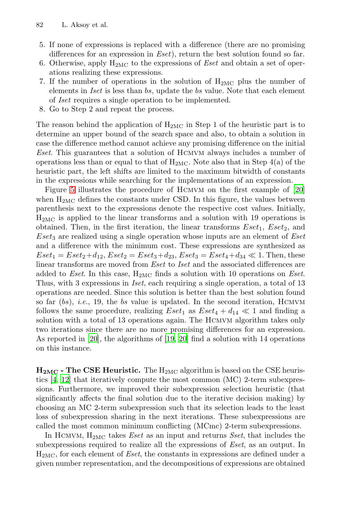- 82 L. Aksoy et al.
- 5. If none of expressions is replaced with a difference (there are no promising differences for an expression in *Eset*), return the best solution found so far.
- 6. Otherwise, apply H2MC to the expressions of *Eset* and obtain a set of operations realizing these expressions.
- 7. If the number of operations in the solution of  $H_{2MC}$  plus the number of elements in *Iset* is less than *bs*, update the *bs* value. Note that each element of *Iset* requires a single operation to be implemented.
- 8. Go to Step 2 and repeat the process.

T[he](#page-20-1) reason be[h](#page-20-1)ind the application of  $H_{2MC}$  in Step 1 of the heuristic part is to determine an upper bound of the search space and also, to obtain a solution in case the difference method cannot achieve any promising difference on the initial *Eset*. This guarantees that a solution of Hcmvm always includes a number of operations less than or equal to that of  $H_{2MC}$ . Note also that in Step 4(a) of the heuristic part, the left shifts are limited to the maximum bitwidth of constants in the expressions while searching for the implementations of an expression.

Figure 5 illustrates the procedure of Hcmvm on the first example of [20] when  $H_{2MC}$  defines the constants under CSD. In this figure, the values between parenthesis next to the expressions denote the respective cost values. Initially,  $H_{2MC}$  is applied to the linear transforms and a solution with 19 operations is obtained. Then, in the first iteration, the linear transforms  $Eset_1$ ,  $Eset_2$ , and *Eset*<sup>3</sup> are realized using a single operation whose inputs are an element of *Eset* and a difference with the minimum cost. These expressions are synthesized as  $Eset_1 = Eset_2 + d_{12}, Eset_2 = Eset_3 + d_{23}, Eset_3 = Eset_4 + d_{34} \ll 1.$  Then, these [l](#page-20-1)inear transforms ar[e m](#page-20-2)[oved](#page-20-1) from *Eset* to *Iset* and the associated differences are added to *Eset*. In this case, H2MC finds a solution with 10 operations on *Eset*. Thus, with 3 expressions in *Iset*, each requiring a single operation, a total of 13 operations are needed. Since this solution is better than the best solution found so far (*bs*), *i.e.*, 19, the *bs* value is updated. In the second iteration, Hcmvm follows the same procedure, realizing  $Eset_1$  as  $Eset_4 + d_{14} \ll 1$  and finding a solution with a total of 13 operations again. The HCMVM algorithm takes only two iterations since there are no more promising differences for an expression. As reported in [20], the algorithms of [19, 20] find a solution with 14 operations on this instance.

**H2MC - The CSE Heuristic.** The H2MC algorithm is based on the CSE heuristics [4, 12] that iteratively compute the most common (MC) 2-term subexpressions. Furthermore, we improved their subexpression selection heuristic (that significantly affects the final solution due to the iterative decision making) by choosing an MC 2-term subexpression such that its selection leads to the least loss of subexpression sharing in the next iterations. These subexpressions are called the most common minimum conflicting (MCmc) 2-term subexpressions.

In Hcmvm, H2MC takes *Eset* as an input and returns *Sset*, that includes the subexpressions required to realize all the expressions of *Eset*, as an output. In H2MC, for each element of *Eset*, the constants in expressions are defined under a given number representation, and the decompositions of expressions are obtained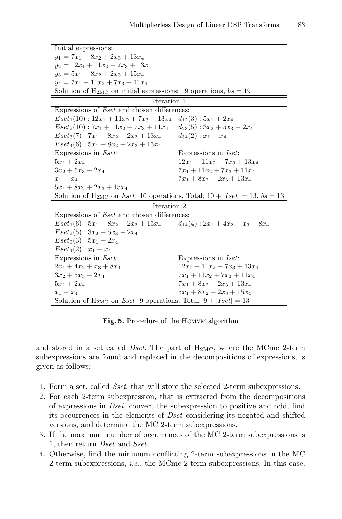| Initial expressions:                                                                |                                       |
|-------------------------------------------------------------------------------------|---------------------------------------|
| $y_1 = 7x_1 + 8x_2 + 2x_3 + 13x_4$                                                  |                                       |
| $y_2 = 12x_1 + 11x_2 + 7x_3 + 13x_4$                                                |                                       |
| $y_3 = 5x_1 + 8x_2 + 2x_3 + 15x_4$                                                  |                                       |
| $y_4 = 7x_1 + 11x_2 + 7x_3 + 11x_4$                                                 |                                       |
| Solution of $H_{2MC}$ on initial expressions: 19 operations, $bs = 19$              |                                       |
| Iteration 1                                                                         |                                       |
| Expressions of <i>Eset</i> and chosen differences:                                  |                                       |
| $Eset1(10): 12x1 + 11x2 + 7x3 + 13x4$ $d_{12}(3): 5x1 + 2x4$                        |                                       |
| $Eset2(10): 7x1 + 11x2 + 7x3 + 11x4$                                                | $d_{23}(5): 3x_2 + 5x_3 - 2x_4$       |
| $Eset_3(7): 7x_1 + 8x_2 + 2x_3 + 13x_4$                                             | $d_{34}(2): x_1-x_4$                  |
| $Eset_4(6): 5x_1 + 8x_2 + 2x_3 + 15x_4$                                             |                                       |
| Expressions in <i>Eset</i> :                                                        | Expressions in <i>Iset</i> :          |
| $5x_1 + 2x_4$                                                                       | $12x_1 + 11x_2 + 7x_3 + 13x_4$        |
| $3x_2 + 5x_3 - 2x_4$                                                                | $7x_1 + 11x_2 + 7x_3 + 11x_4$         |
| $x_1 - x_4$                                                                         | $7x_1 + 8x_2 + 2x_3 + 13x_4$          |
| $5x_1 + 8x_2 + 2x_3 + 15x_4$                                                        |                                       |
| Solution of $H_{2MC}$ on Eset: 10 operations, Total: $10 +  Iset  = 13$ , $bs = 13$ |                                       |
| Iteration 2                                                                         |                                       |
| Expressions of <i>Eset</i> and chosen differences:                                  |                                       |
| $Eset1(6): 5x1 + 8x2 + 2x3 + 15x4$                                                  | $d_{14}(4): 2x_1 + 4x_2 + x_3 + 8x_4$ |
| $Eset_2(5): 3x_2 + 5x_3 - 2x_4$                                                     |                                       |
| $Eset_3(3): 5x_1 + 2x_4$                                                            |                                       |
| $Eset_4(2): x_1 - x_4$                                                              |                                       |
| Expressions in <i>Eset</i> :                                                        | Expressions in <i>Iset</i> :          |
| $2x_1 + 4x_2 + x_3 + 8x_4$                                                          | $12x_1 + 11x_2 + 7x_3 + 13x_4$        |
| $3x_2 + 5x_3 - 2x_4$                                                                | $7x_1 + 11x_2 + 7x_3 + 11x_4$         |
| $5x_1 + 2x_4$                                                                       | $7x_1 + 8x_2 + 2x_3 + 13x_4$          |
| $x_1-x_4$                                                                           | $5x_1 + 8x_2 + 2x_3 + 15x_4$          |
| Solution of $H_{2MC}$ on <i>Eset</i> : 9 operations, Total: $9 +  Iset  = 13$       |                                       |

<span id="page-10-0"></span>Fig. 5. Procedure of the HCMVM algorithm

and stored in a set called *Dset*. The part of H2MC, where the MCmc 2-term subexpressions are found and replaced in the decompositions of expressions, is given as follows:

- 1. Form a set, called *Sset*, that will store the selected 2-term subexpressions.
- 2. For each 2-term subexpression, that is extracted from the decompositions of expressions in *Dset*, convert the subexpression to positive and odd, find its occurrences in the elements of *Dset* considering its negated and shifted versions, and determine the MC 2-term subexpressions.
- 3. If the maximum number of occurrences of the MC 2-term subexpressions is 1, then return *Dset* and *Sset*.
- 4. Otherwise, find the minimum conflicting 2-term subexpressions in the MC 2-term subexpressions, *i.e.*, the MCmc 2-term subexpressions. In this case,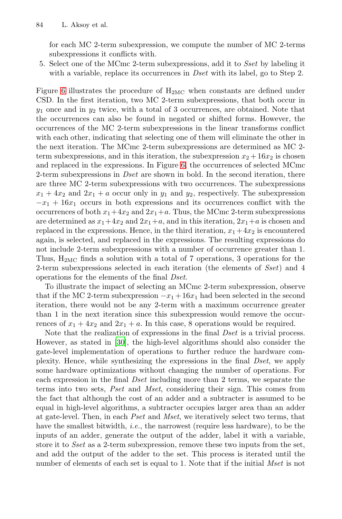for each MC 2-term subexpression, we compute the number of MC 2-terms subexpressions it conflicts with.

5. Select one of the MCmc 2-term subexpressions, add it to *Sset* by labeling it with a variable, replace its occurrences in *Dset* with its label, go to Step 2.

Figure 6 illustrates the [pr](#page-12-0)ocedure of H2MC when constants are defined under CSD. In the first iteration, two MC 2-term subexpressions, that both occur in *y*<sup>1</sup> once and in *y*<sup>2</sup> twice, with a total of 3 occurrences, are obtained. Note that the occurrences can also be found in negated or shifted forms. However, the occurrences of the MC 2-term subexpressions in the linear transforms conflict with each other, indicating that selecting one of them will eliminate the other in the next iteration. The MCmc 2-term subexpressions are determined as MC 2 term subexpressions, and in this iteration, the subexpression  $x_2 + 16x_2$  is chosen and replaced in the expressions. In Figure 6, the occurrences of selected MCmc 2-term subexpressions in *Dset* are shown in bold. In the second iteration, there are three MC 2-term subexpressions with two occurrences. The subexpressions  $x_1 + 4x_2$  and  $2x_1 + a$  occur only in  $y_1$  and  $y_2$ , respectively. The subexpression  $-x_1 + 16x_1$  occurs in both expressions and its occurrences conflict with the occurrences of both  $x_1+4x_2$  and  $2x_1+a$ . Thus, the MCmc 2-term subexpressions are determined as  $x_1+4x_2$  and  $2x_1+a$ , and in this iteration,  $2x_1+a$  is chosen and replaced in the expressions. Hence, in the third iteration,  $x_1 + 4x_2$  is encountered again, is selected, and replaced in the expressions. The resulting expressions do not include 2-term subexpressions with a number of occurrence greater than 1. Thus,  $H_{2MC}$  finds a solution with a total of 7 operations, 3 operations for the 2-ter[m s](#page-20-18)ubexpressions selected in each iteration (the elements of *Sset*) and 4 operations for the elements of the final *Dset*.

To illustrate the impact of selecting an MCmc 2-term subexpression, observe that if the MC 2-term subexpression  $-x_1+16x_1$  had been selected in the second iteration, there would not be any 2-term with a maximum occurrence greater than 1 in the next iteration since this subexpression would remove the occurrences of  $x_1 + 4x_2$  and  $2x_1 + a$ . In this case, 8 operations would be required.

Note that the realization of expressions in the final *Dset* is a trivial process. However, as stated in [30], the high-level algorithms should also consider the gate-level implementation of operations to further reduce the hardware complexity. Hence, while synthesizing the expressions in the final *Dset*, we apply some hardware optimizations without changing the number of operations. For each expression in the final *Dset* including more than 2 terms, we separate the terms into two sets, *Pset* and *Mset*, considering their sign. This comes from the fact that although the cost of an adder and a subtracter is assumed to be equal in high-level algorithms, a subtracter occupies larger area than an adder at gate-level. Then, in each *Pset* and *Mset*, we iteratively select two terms, that have the smallest bitwidth, *i.e.*, the narrowest (require less hardware), to be the inputs of an adder, generate the output of the adder, label it with a variable, store it to *Sset* as a 2-term subexpression, remove these two inputs from the set, and add the output of the adder to the set. This process is iterated until the number of elements of each set is equal to 1. Note that if the initial *Mset* is not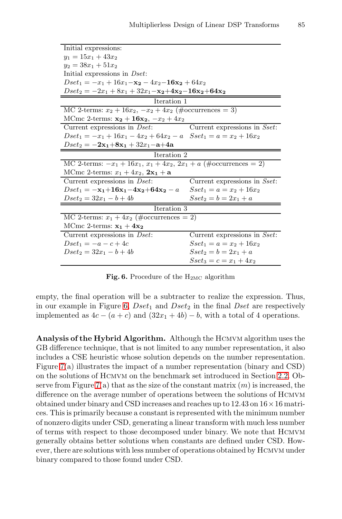<span id="page-12-0"></span>

| Initial expressions:                                                      |                              |
|---------------------------------------------------------------------------|------------------------------|
| $y_1 = 15x_1 + 43x_2$                                                     |                              |
| $y_2 = 38x_1 + 51x_2$                                                     |                              |
| Initial expressions in <i>Dset</i> :                                      |                              |
| $Dset_1 = -x_1 + 16x_1 - x_2 - 4x_2 - 16x_2 + 64x_2$                      |                              |
| $Dset_2 = -2x_1 + 8x_1 + 32x_1 - x_2 + 4x_2 - 16x_2 + 64x_2$              |                              |
| Iteration 1                                                               |                              |
| MC 2-terms: $x_2 + 16x_2, -x_2 + 4x_2$ (#occurrences = 3)                 |                              |
| MCmc 2-terms: $x_2 + 16x_2$ , $-x_2 + 4x_2$                               |                              |
| Current expressions in <i>Dset</i> :                                      | Current expressions in Sset: |
| $Dset_1 = -x_1 + 16x_1 - 4x_2 + 64x_2 - a$ $Sset_1 = a = x_2 + 16x_2$     |                              |
| $Dset_2 = -2x_1+8x_1+32x_1-a+4a$                                          |                              |
| Iteration 2                                                               |                              |
| MC 2-terms: $-x_1 + 16x_1$ , $x_1 + 4x_2$ , $2x_1 + a$ (#occurrences = 2) |                              |
| MCmc 2-terms: $x_1 + 4x_2$ , $2x_1 + a$                                   |                              |
| Current expressions in <i>Dset</i> :                                      | Current expressions in Sset: |
| $Dset_1 = -x_1+16x_1-4x_2+64x_2-a$                                        | $Sset_1 = a = x_2 + 16x_2$   |
| $Dset2 = 32x1 - b + 4b$                                                   | $Sset_2 = b = 2x_1 + a$      |
| Iteration 3                                                               |                              |
| MC 2-terms: $x_1 + 4x_2$ (#occurrences = 2)                               |                              |
| MCmc 2-terms: $x_1 + 4x_2$                                                |                              |
| Current expressions in <i>Dset</i> :                                      | Current expressions in Sset: |
| $Dset_1 = -a - c + 4c$                                                    | $Sset_1 = a = x_2 + 16x_2$   |
| $Dset_2 = 32x_1 - b + 4b$                                                 | $Sset_2 = b = 2x_1 + a$      |
|                                                                           | $Sset_3 = c = x_1 + 4x_2$    |

Fig. 6. Procedure of the H<sub>2MC</sub> algorithm

empty, the final operation will be a subtracter to realize the expression. Thus, in our example in Figure 6,  $Dset_1$  and  $Dset_2$  in the [fina](#page-3-1)l *Dset* are respectively [im](#page-13-0)plemented as 4*c* − (*a* + *c*) and (32*x*<sup>1</sup> + 4*b*) − *b*, with a total of 4 operations.

Analysis of the Hybrid Algorithm. Although the HCMVM algorithm uses the GB difference technique, that is not limited to any number representation, it also includes a CSE heuristic whose solution depends on the number representation. Figure 7(a) illustrates the impact of a number representation (binary and CSD) on the solutions of Hcmvm on the benchmark set introduced in Section 2.2. Observe from Figure 7(a) that as the size of the constant matrix  $(m)$  is increased, the difference on the average number of operations between the solutions of Hcmvm obtained under binary and CSD increases and reaches up to  $12.43$  on  $16 \times 16$  matrices. This is primarily because a constant is represented with the minimum number of nonzero digits under CSD, generating a linear transform with much less number of terms with respect to those decomposed under binary. We note that Hcmvm generally obtains better solutions when constants are defined under CSD. However, there are solutions with less number of operations obtained by Hcmvm under binary compared to those found under CSD.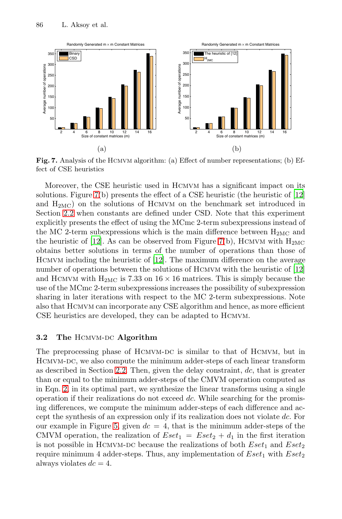

Fig. 7. Analysis of the HCMVM algorithm: (a) Effect of number representations; (b) Ef[fe](#page-20-13)ct of CSE heuristics

Moreover, the [CS](#page-20-13)E heuristic used in Hcmvm has a significant impact on its solutions. Figure 7(b) presents the effect of a CSE heuristi[c \(t](#page-20-13)he heuristic of [12] and  $H_{2MC}$ ) on the solutions of HCMVM on the benchmark set introduced in Section 2.2 when constants are defined under CSD. Note that this experiment explicitly presents the effect of using the MCmc 2-term subexpressions instead of the MC 2-term subexpressions which is the main difference between  $H_{2MC}$  and the heuristic of [12]. As can be observed from Figure 7(b), HCMVM with  $H_{2MC}$ obtains better solutions in terms of the number of operations than those of HCMVM including the heuristic of [12]. The maximum difference on the average number of operations between the solutions of HCMVM with the heuristic of [12] and HCMVM with  $H_{2MC}$  is 7.33 on  $16 \times 16$  matrices. This is simply because the use of the MCmc 2-term subexpressions increases the possibility of subexpression shari[ng in](#page-3-1) later iterations with respect to the MC 2-term subexpressions. Note also that Hcmvm can incorporate any CSE algorithm and hence, as more efficient CSE heuristics are developed, they can be adapted to Hcmvm.

### **3.2** The HCMVM-DC Algorithm

The [pr](#page-10-0)eprocessing phase of HCMVM-DC is similar to that of HCMVM, but in Hcmvm-dc, we also compute the minimum adder-steps of each linear transform as described in Section 2.2. Then, given the delay constraint, *dc*, that is greater than or equal to the minimum adder-steps of the CMVM operation computed as in Eqn. 2, in its optimal part, we synthesize the linear transforms using a single operation if their realizations do not exceed *dc*. While searching for the promising differences, we compute the minimum adder-steps of each difference and accept the synthesis of an expression only if its realization does not violate *dc*. For our example in Figure 5, given  $dc = 4$ , that is the minimum adder-steps of the CMVM operation, the realization of  $Eset_1 = Eset_2 + d_1$  in the first iteration is not possible in HCMVM-DC because the realizations of both  $Eset_1$  and  $Eset_2$ require minimum 4 adder-steps. Thus, any implementation of  $Eset_1$  with  $Eset_2$ always violates  $dc = 4$ .

<span id="page-13-0"></span>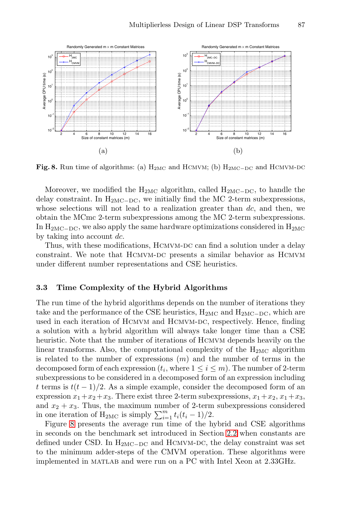

Fig. 8. Run time of algorithms: (a) H<sub>2MC</sub> and HCMVM; (b) H<sub>2MC−DC</sub> and HCMVM-DC

Moreover, we modified the  $H_{2MC}$  algorithm, called  $H_{2MC-DC}$ , to handle the delay constraint. In  $H_{2MC-DC}$ , we initially find the MC 2-term subexpressions, whose selections will not lead to a realization greater than *dc*, and then, we obtain the MCmc 2-term subexpressions among the MC 2-term subexpressions. In  $H_{2MC-DC}$ , we also apply the same hardware optimizations considered in  $H_{2MC}$ by taking into account *dc*.

Thus, with these modifications, HCMVM-DC can find a solution under a delay constraint. We note that HCMVM-DC presents a similar behavior as HCMVM under different number representations and CSE heuristics.

## **3.3 Time Complexity of the Hybrid Algorithms**

The run time of the hybrid algorithms depends on the number of iterations they take and the performance of the CSE heuristics,  $H_{2MC}$  and  $H_{2MC-DC}$ , which are used in each iteration of HCMVM and HCMVM-DC, respectively. Hence, finding a solution with a hybrid algorithm will always take longer time than a CSE heuristic. Note that the number of iterations of Hcmvm depends heavily on the linear transforms. Also, the computational complexity of the  $H_{2MC}$  algorithm is related to the number of expressio[ns \(](#page-3-1)*m*) and the number of terms in the decomposed form of each expression  $(t_i,$  where  $1 \leq i \leq m$ ). The number of 2-term subexpressions to be considered in a decomposed form of an expression including *t* terms is  $t(t-1)/2$ . As a simple example, consider the decomposed form of an expression  $x_1+x_2+x_3$ . There exist three 2-term subexpressions,  $x_1+x_2$ ,  $x_1+x_3$ , and  $x_2 + x_3$ . Thus, the maximum number of 2-term subexpressions considered in one iteration of  $H_{2MC}$  is simply  $\sum_{i=1}^{m} t_i(t_i-1)/2$ .

Figure 8 presents the average run time of the hybrid and CSE algorithms in seconds on the benchmark set introduced in Section 2.2 when constants are defined under CSD. In  $H_{2MC-DC}$  and HCMVM-DC, the delay constraint was set to the minimum adder-steps of the CMVM operation. These algorithms were implemented in matlab and were run on a PC with Intel Xeon at 2.33GHz.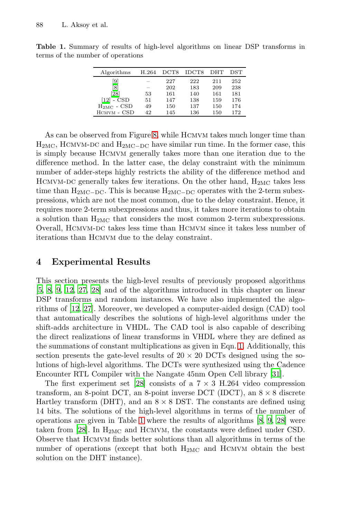<span id="page-15-1"></span>**Table 1.** Summary of results of high-level algorithms on linear DSP transforms in terms of the number of operations

| Algorithms                            | H.264 | $_{\mathrm{DCT8}}$ | IDCT8 | <b>DHT</b> | DST |
|---------------------------------------|-------|--------------------|-------|------------|-----|
| i9                                    |       | 227                | 222   | 211        | 252 |
| 8                                     |       | 202                | 183   | 209        | 238 |
| [28]                                  | 53    | 161                | 140   | 161        | 181 |
| - CSD<br>$\left\lceil 12\right\rceil$ | 51    | 147                | 138   | 159        | 176 |
| $H_{2MC}$ - CSD                       | 49    | 150                | 137   | 150        | 174 |
| HCMVM - CSD                           | 42    | 145                | 136   | 150        | 172 |

<span id="page-15-0"></span>As can be observed from Figure 8, while HCMVM takes much longer time than  $H_{2MC}$ , HCMVM-DC and  $H_{2MC-DC}$  have similar run time. In the former case, this is simply because Hcmvm generally takes more than one iteration due to the difference method. In the latter case, the delay constraint with the minimum number of adder-steps highly restricts the ability of the difference method and HCMVM-DC generally takes few iterations. On the other hand,  $H_{2MC}$  takes less time than  $H_{2MC-DC}$ . This is because  $H_{2MC-DC}$  operates with the 2-term subexpressions, which are not the most common, due to the delay constraint. Hence, it requires more 2-term subexpressions and thus, it takes more iterations to obtain [a](#page-20-15) solution than  $H_{2MC}$  that considers the most common 2-term subexpressions. Overall, HCMVM-DC takes less time than HCMVM since it takes less number of iterations than Hcmvm due to the delay constraint.

# **4 Experimental Results**

This section presents the high-level resu[lts](#page-3-2) of previously proposed algorithms [5, 8, 9, 12, 27, 28] and of the algorithms introduced in this chapter on linear DSP transforms and random instances. We have [als](#page-20-19)o implemented the algorithms of [[12,](#page-20-15) 27]. Moreover, we developed a computer-aided design (CAD) tool that automatically describes the solutions of high-level algorithms under the shift-adds architecture in VHDL. The CAD tool is also capable of describing the direct realizations of linear transforms in VHDL where they are defined as the summati[on](#page-15-1)s of constant multiplications as g[ive](#page-19-3)[n](#page-19-6) i[n E](#page-20-15)qn. 1. Additionally, this section presents the gate-level results of  $20 \times 20$  DCTs designed using the solutions of high-level algorithms. The DCTs were synthesized using the Cadence Encounter RTL Compiler with the Nangate 45nm Open Cell library [31].

The first experiment set [28] consists of a  $7 \times 3$  H.264 video compression transform, an 8-point DCT, an 8-point inverse DCT (IDCT), an  $8 \times 8$  discrete Hartley transform (DHT), and an  $8 \times 8$  DST. The constants are defined using 14 bits. The solutions of the high-level algorithms in terms of the number of operations are given in Table 1 where the results of algorithms [8, 9, 28] were taken from [28]. In  $H_{2MC}$  and HCMVM, the constants were defined under CSD. Observe that Hcmvm finds better solutions than all algorithms in terms of the number of operations (except that both H2MC and Hcmvm obtain the best solution on the DHT instance).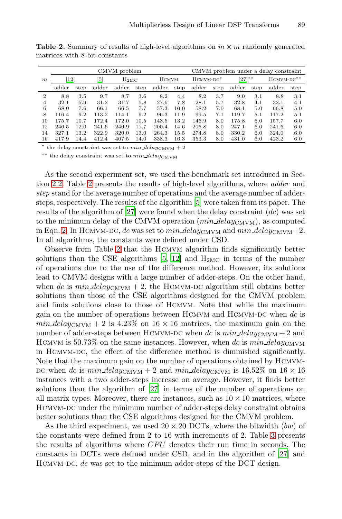|                | CMVM problem |      |       |       |                    |       |                         | CMVM problem under a delay constraint |             |       |              |       |      |  |
|----------------|--------------|------|-------|-------|--------------------|-------|-------------------------|---------------------------------------|-------------|-------|--------------|-------|------|--|
| m              | $ 12\rangle$ |      | [5]   |       | $H_{2MC}$<br>HCMVM |       | $HCMVM-DC$ <sup>*</sup> |                                       | $[27]^{**}$ |       | $HCMVM-DC**$ |       |      |  |
|                | adder        | step | adder | adder | step               | adder | step                    | adder                                 | step        | adder | step         | adder | step |  |
| $\overline{2}$ | 8.8          | 3.5  | 9.7   | 8.7   | 3.6                | 8.2   | 4.4                     | 8.2                                   | 3.7         | 9.0   | 3.1          | 8.8   | 3.1  |  |
| $\overline{4}$ | 32.1         | 5.9  | 31.2  | 31.7  | 5.8                | 27.6  | 7.8                     | 28.1                                  | 5.7         | 32.8  | 4.1          | 32.1  | 4.1  |  |
| 6              | 68.0         | 7.6  | 66.1  | 66.5  | 7.7                | 57.3  | 10.0                    | 58.2                                  | 7.0         | 68.1  | 5.0          | 66.8  | 5.0  |  |
| 8              | 116.4        | 9.2  | 113.2 | 114.1 | 9.2                | 96.3  | 11.9                    | 99.5                                  | 7.1         | 119.7 | 5.1          | 117.2 | 5.1  |  |
| 10             | 175.7        | 10.7 | 172.4 | 172.0 | 10.5               | 143.5 | 13.2                    | 146.9                                 | 8.0         | 175.8 | 6.0          | 157.7 | 6.0  |  |
| 12             | 246.5        | 12.0 | 241.6 | 240.9 | 11.7               | 200.4 | 14.6                    | 206.8                                 | 8.0         | 247.1 | 6.0          | 241.6 | 6.0  |  |
| 14             | 327.1        | 13.2 | 322.9 | 320.0 | 13.0               | 264.3 | 15.5                    | 274.8                                 | 8.0         | 330.2 | 6.0          | 324.0 | 6.0  |  |
| 16             | 417.9        | 14.4 | 412.4 | 407.5 | 14.0               | 338.3 | 16.3                    | 353.3                                 | 8.0         | 431.0 | 6.0          | 423.2 | 6.0  |  |

<span id="page-16-0"></span>**Table 2.** Summary of results of high-level algorithms on  $m \times m$  randomly generated matrices with 8-bit constants

\* the delay constraint was set to  $min\_delay_{\text{CMVM}} + 2$ 

∗∗ the delay constraint was set to *min delay*CMVM

As [th](#page-16-0)e second experiment set, we used the benchmark set introduced in Section 2.2. Table 2 p[res](#page-19-1)[ent](#page-20-13)s the results of high-level algorithms, where *adder* and *step* stand for the average number of operations and the average number of addersteps, respectively. The results of the algorithm [5] were taken from its paper. The results of the algorithm of [27] were found when the delay constraint (*dc*) was set to the minimum delay of the CMVM operation  $(min\_delay_{\text{CMVM}})$ , as computed in Eqn. 2. In HCMVM-DC, *dc* was set to *min delay*CMVM and *min delay*CMVM+2. In all algorithms, the constants were defined under CSD.

Observe from Table 2 that the Hcmvm algorithm finds significantly better solutions than the CSE algorithms  $[5, 12]$  and  $H_{2MC}$  in terms of the number of operations due to the use of the difference method. However, its solutions lead to CMVM designs with a large number of adder-steps. On the other hand, when *dc* is  $min\_delay_{\text{CMVM}} + 2$ , the HCMVM-DC algorithm still obtains better solutions than those of the CSE algorithms designed for the CMVM problem and finds solutions close to those of Hcmvm. Note that while the maximum gain on the nu[mbe](#page-20-14)r of operations between Hcmvm and Hcmvm-dc when *dc* is  $min\_delay_{\text{CMVM}} + 2$  is 4.23% on  $16 \times 16$  matrices, the maximum gain on the number of adder-steps between HCMVM-DC when *dc* is  $min\_delay_{\text{CMVM}} + 2$  and HCMVM is 50.73% on the same instances. However, when  $dc$  is  $min\_delay_{\text{CMVM}}$ in Hcmvm-dc, the effect of the difference method is diminished significantly. Note that the maximum gain on the number of ope[rat](#page-17-0)ions obtained by Hcmvm-DC when *dc* is  $min\_delay_{\text{CMVM}} + 2$  and  $min\_delay_{\text{CMVM}}$  is 16.52% on 16  $\times$  16 instances with a two adder-steps increase on averag[e. H](#page-20-14)owever, it finds better solutions than the algorithm of [27] in terms of the number of operations on all matrix types. Moreover, there are instances, such as  $10 \times 10$  matrices, where Hcmvm-dc under the minimum number of adder-steps delay constraint obtains better solutions than the CSE algorithms designed for the CMVM problem.

As the third experiment, we used  $20 \times 20$  DCTs, where the bitwidth (*bw*) of the constants were defined from 2 to 16 with increments of 2. Table 3 presents the results of algorithms where *CPU* denotes their run time in seconds. The constants in DCTs were defined under CSD, and in the algorithm of [27] and HCMVM-DC, *dc* was set to the minimum adder-steps of the DCT design.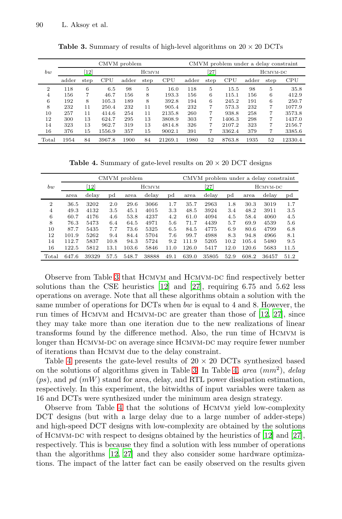|       | CMVM problem                 |      |        |              |      |            |          | CMVM problem under a delay constraint |            |          |      |         |  |
|-------|------------------------------|------|--------|--------------|------|------------|----------|---------------------------------------|------------|----------|------|---------|--|
| bw    | $\left\lceil 12\right\rceil$ |      |        | <b>HCMVM</b> |      |            | $^{527}$ |                                       |            | HCMVM-DC |      |         |  |
|       | adder                        | step | CPU    | adder        | step | <b>CPU</b> | adder    | step                                  | <b>CPU</b> | adder    | step | CPU     |  |
| 2     | 118                          | 6    | 6.5    | 98           | 5    | 16.0       | 118      | 5                                     | 15.5       | 98       | 5    | 35.8    |  |
| 4     | 156                          | 7    | 46.7   | 156          | 8    | 193.3      | 156      | 6                                     | 115.1      | 156      | 6    | 412.9   |  |
| 6     | 192                          | 8    | 105.3  | 189          | 8    | 392.8      | 194      | 6                                     | 245.2      | 191      | 6    | 250.7   |  |
| 8     | 232                          | 11   | 250.4  | 232          | 11   | 905.4      | 232      | 7                                     | 573.3      | 232      | 7    | 1077.9  |  |
| 10    | 257                          | 11   | 414.6  | 254          | 11   | 2135.8     | 260      | 7                                     | 938.8      | 258      | 7    | 3573.8  |  |
| 12    | 300                          | 13   | 624.7  | 295          | 13   | 3808.9     | 303      | 7                                     | 1406.3     | 298      | 7    | 1437.0  |  |
| 14    | 323                          | 13   | 962.7  | 319          | 13   | 4814.8     | 326      | 7                                     | 2107.2     | 323      | 7    | 2156.7  |  |
| 16    | 376                          | 15   | 1556.9 | 357          | 15   | 9002.1     | 391      | 7                                     | 3362.4     | 379      | 7    | 3385.6  |  |
| Total | 1954                         | 84   | 3967.8 | 1900         | 84   | 21269.1    | 1980     | 52                                    | 8763.8     | 1935     | 52   | 12330.4 |  |

<span id="page-17-1"></span><span id="page-17-0"></span>**Table 3.** Summary of results of high-level algorithms on  $20 \times 20$  DCTs

**Table 4.** Summary of gate-level results on  $20 \times 20$  DCT designs

|                | CMVM problem |       |      |       |       |      |       | CMVM problem under a delay constraint |      |          |       |             |  |
|----------------|--------------|-------|------|-------|-------|------|-------|---------------------------------------|------|----------|-------|-------------|--|
| bw             | 12           |       |      | HCMVM |       |      |       | $\left[ 27\right]$                    |      | HCMVM-DC |       |             |  |
|                | area         | delay | pd   | area  | delay | pd   | area  | delay                                 | pd   | area     | delay | $_{\rm pd}$ |  |
| $\overline{2}$ | 36.5         | 3202  | 2.0  | 29.6  | 3066  | 1.7  | 35.7  | 2963                                  | 1.8  | 30.3     | 3019  | 1.7         |  |
| 4              | 49.3         | 4132  | 3.5  | 45.1  | 4015  | 3.3  | 48.5  | 3924                                  | 3.4  | 48.2     | 3911  | 3.5         |  |
| 6              | 60.7         | 4176  | 4.6  | 53.8  | 4237  | 4.2  | 61.0  | 4094                                  | 4.5  | 58.4     | 4060  | 4.5         |  |
| 8              | 76.3         | 5473  | 6.4  | 64.5  | 4971  | 5.6  | 71.7  | 4439                                  | 5.7  | 69.9     | 4539  | 5.6         |  |
| 10             | 87.7         | 5435  | 7.7  | 73.6  | 5325  | 6.5  | 84.5  | 4775                                  | 6.9  | 80.6     | 4799  | 6.8         |  |
| 12             | 101.9        | 5262  | 9.4  | 84.4  | 5704  | 7.6  | 99.7  | 4988                                  | 8.3  | 94.8     | 4966  | 8.1         |  |
| 14             | 112.7        | 5837  | 10.8 | 94.3  | 5724  | 9.2  | 111.9 | 5205                                  | 10.2 | 105.4    | 5480  | 9.5         |  |
| 16             | 122.5        | 5812  | 13.1 | 103.6 | 5846  | 11.0 | 126.0 | 5417                                  | 12.0 | 120.6    | 5683  | 11.5        |  |
| Total          | 647.6        | 39329 | 57.5 | 548.7 | 38888 | 49.1 | 639.0 | 35805                                 | 52.9 | 608.2    | 36457 | 51.2        |  |

Observe from Table 3 that HCMVM and HCMVM-DC find respectively better solutions than the CSE heuristics [12] and [27], requiring 6*.*75 and 5*.*62 less operations on average. Note [th](#page-17-0)at all the[se](#page-17-1) algorithms obtain a solution with the same number of operations for DCTs when *bw* is equal to 4 and 8. However, the run times of HCMVM and HCMVM-DC are greater than those of  $[12, 27]$ , since they may take more than one iteration due to the new realizations of linear transf[or](#page-17-1)ms found by the difference method. Also, the run time of Hcmvm is longer than HCMVM-DC on average since HCMVM-DC may require fewer number of iterations than Hcmvm due to the delay constraint.

Table 4 presents the gate-level results of  $20 \times 20$  D[CTs](#page-20-14) synthesized based on the solutions of algorithms given in Table 3. In Table 4, *area* (*mm*<sup>2</sup>), *delay* (*ps*[\), a](#page-20-13)n[d](#page-20-14) *pd* (*mW*) stand for area, delay, and RTL power dissipation estimation, respectively. In this experiment, the bitwidths of input variables were taken as 16 and DCTs were synthesized under the minimum area design strategy.

Observe from Table 4 that the solutions of Hcmvm yield low-complexity DCT designs (but with a large delay due to a large number of adder-steps) and high-speed DCT designs with low-complexity are obtained by the solutions of HCMVM-DC with respect to designs obtained by the heuristics of  $[12]$  and  $[27]$ , respectively. This is because they find a solution with less number of operations than the algorithms [12, 27] and they also consider some hardware optimizations. The impact of the latter fact can be easily observed on the results given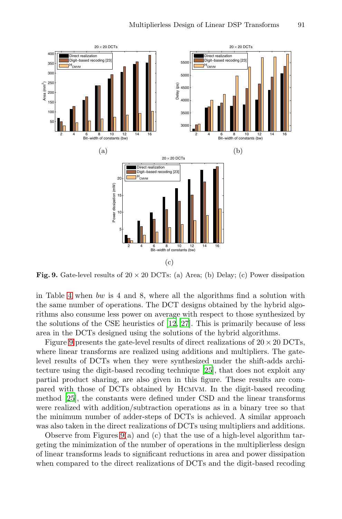<span id="page-18-0"></span>

(c) **Fig. 9.** Gate-level results of  $20 \times 20$  DCTs: (a) Area; (b) Delay; (c) Power dissipation

in Table 4 when *bw* is 4 and [8, w](#page-20-7)here all the algorithms find a solution with the same number of operations. The DCT designs obtained by the hybrid algorithms also consume less power on average with respect to those synthesized by the solutions of the CSE heuristics of [12, 27]. This is primarily because of less area in the DCTs designed using the solutions of the hybrid algorithms.

Figure 9 presents the gate-level results of direct realizations of  $20 \times 20$  DCTs, where linear transforms are realized using additions and multipliers. The gatelevel r[esu](#page-18-0)lts of DCTs when they were synthesized under the shift-adds architecture using the digit-based recoding technique [25], that does not exploit any partial product sharing, are also given in this figure. These results are compared with those of DCTs obtained by Hcmvm. In the digit-based recoding method [25], the constants were defined under CSD and the linear transforms were realized with addition/subtraction operations as in a binary tree so that the minimum number of adder-steps of DCTs is achieved. A similar approach was also taken in the direct realizations of DCTs using multipliers and additions.

Observe from Figures 9(a) and (c) that the use of a high-level algorithm targeting the minimization of the number of operations in the multiplierless design of linear transforms leads to significant reductions in area and power dissipation when compared to the direct realizations of DCTs and the digit-based recoding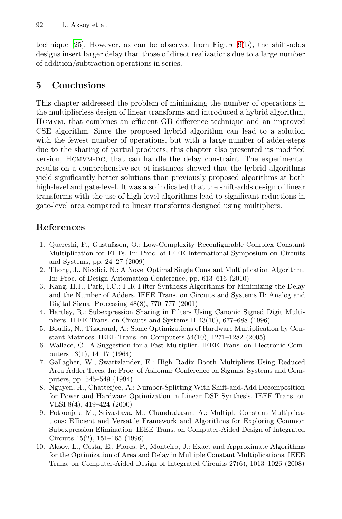<span id="page-19-7"></span>technique [25]. However, as can be observed from Figure 9(b), the shift-adds designs insert larger delay than those of direct realizations due to a large number of addition/subtraction operations in series.

# **5 Conclusions**

<span id="page-19-4"></span><span id="page-19-0"></span>This chapter addressed the problem of minimizing the number of operations in the multiplierless design of linear transforms and introduced a hybrid algorithm, Hcmvm, that combines an efficient GB difference technique and an improved CSE algorithm. Since the proposed hybrid algorithm can lead to a solution with the fewest number of operations, but with a large number of adder-steps due to the sharing of partial products, this chapter also presented its modified version, Hcmvm-dc, that can handle the delay constraint. The experimental results on a comprehensive set of instances showed that the hybrid algorithms yield significantly better solutions than previously proposed algorithms at both high-level and gate-level. It was also indicated that the shift-adds design of linear transforms with the use of high-level algorithms lead to significant reductions in gate-level area compared to linear transforms designed using multipliers.

## <span id="page-19-5"></span><span id="page-19-2"></span><span id="page-19-1"></span>**References**

- <span id="page-19-3"></span>1. Quereshi, F., Gustafsson, O.: Low-Complexity Reconfigurable Complex Constant Multiplication for FFTs. In: Proc. of IEEE International Symposium on Circuits and Systems, pp. 24–27 (2009)
- <span id="page-19-6"></span>2. Thong, J., Nicolici, N.: A Novel Optimal Single Constant Multiplication Algorithm. In: Proc. of Design Automation Conference, pp. 613–616 (2010)
- 3. Kang, H.J., Park, I.C.: FIR Filter Synthesis Algorithms for Minimizing the Delay and the Number of Adders. IEEE Trans. on Circuits and Systems II: Analog and Digital Signal Processing 48(8), 770–777 (2001)
- <span id="page-19-8"></span>4. Hartley, R.: Subexpression Sharing in Filters Using Canonic Signed Digit Multipliers. IEEE Trans. on Circuits and Systems II 43(10), 677–688 (1996)
- 5. Boullis, N., Tisserand, A.: Some Optimizations of Hardware Multiplication by Constant Matrices. IEEE Trans. on Computers 54(10), 1271–1282 (2005)
- 6. Wallace, C.: A Suggestion for a Fast Multiplier. IEEE Trans. on Electronic Computers 13(1), 14–17 (1964)
- 7. Gallagher, W., Swartzlander, E.: High Radix Booth Multipliers Using Reduced Area Adder Trees. In: Proc. of Asilomar Conference on Signals, Systems and Computers, pp. 545–549 (1994)
- 8. Nguyen, H., Chatterjee, A.: Number-Splitting With Shift-and-Add Decomposition for Power and Hardware Optimization in Linear DSP Synthesis. IEEE Trans. on VLSI 8(4), 419–424 (2000)
- 9. Potkonjak, M., Srivastava, M., Chandrakasan, A.: Multiple Constant Multiplications: Efficient and Versatile Framework and Algorithms for Exploring Common Subexpression Elimination. IEEE Trans. on Computer-Aided Design of Integrated Circuits 15(2), 151–165 (1996)
- 10. Aksoy, L., Costa, E., Flores, P., Monteiro, J.: Exact and Approximate Algorithms for the Optimization of Area and Delay in Multiple Constant Multiplications. IEEE Trans. on Computer-Aided Design of Integrated Circuits 27(6), 1013–1026 (2008)